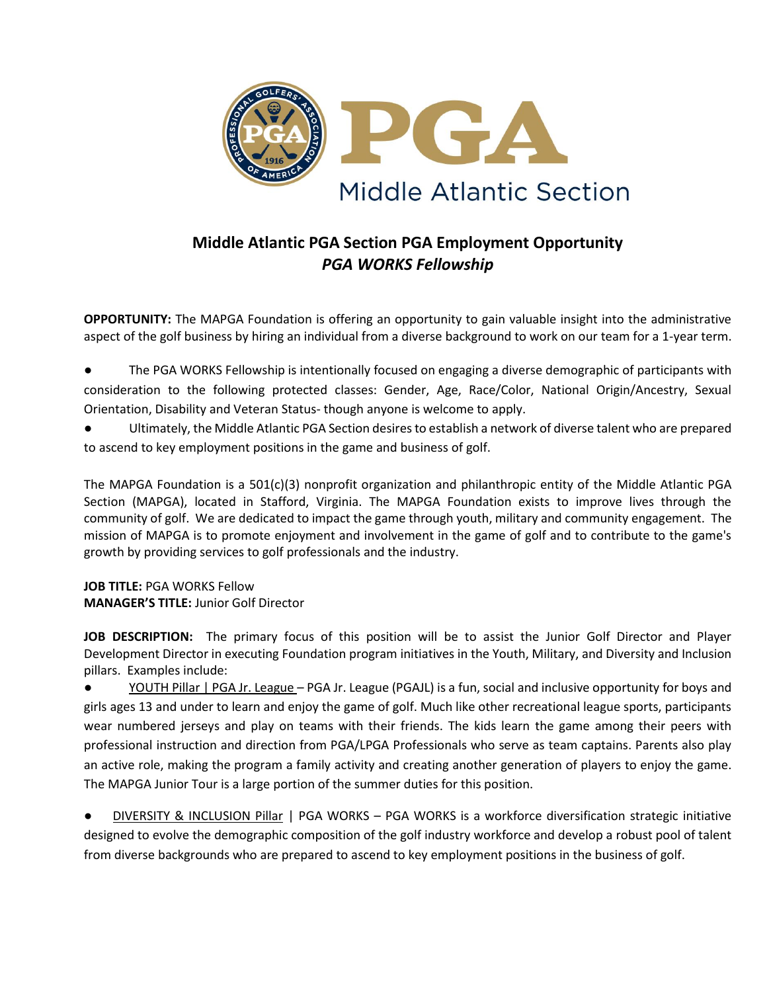

# **Middle Atlantic PGA Section PGA Employment Opportunity** *PGA WORKS Fellowship*

**OPPORTUNITY:** The MAPGA Foundation is offering an opportunity to gain valuable insight into the administrative aspect of the golf business by hiring an individual from a diverse background to work on our team for a 1-year term.

- The PGA WORKS Fellowship is intentionally focused on engaging a diverse demographic of participants with consideration to the following protected classes: Gender, Age, Race/Color, National Origin/Ancestry, Sexual Orientation, Disability and Veteran Status- though anyone is welcome to apply.
- Ultimately, the Middle Atlantic PGA Section desires to establish a network of diverse talent who are prepared to ascend to key employment positions in the game and business of golf.

The MAPGA Foundation is a 501(c)(3) nonprofit organization and philanthropic entity of the Middle Atlantic PGA Section (MAPGA), located in Stafford, Virginia. The MAPGA Foundation exists to improve lives through the community of golf. We are dedicated to impact the game through youth, military and community engagement. The mission of MAPGA is to promote enjoyment and involvement in the game of golf and to contribute to the game's growth by providing services to golf professionals and the industry.

**JOB TITLE:** PGA WORKS Fellow **MANAGER'S TITLE:** Junior Golf Director

**JOB DESCRIPTION:** The primary focus of this position will be to assist the Junior Golf Director and Player Development Director in executing Foundation program initiatives in the Youth, Military, and Diversity and Inclusion pillars. Examples include:

YOUTH Pillar | PGA Jr. League – PGA Jr. League (PGAJL) is a fun, social and inclusive opportunity for boys and girls ages 13 and under to learn and enjoy the game of golf. Much like other recreational league sports, participants wear numbered jerseys and play on teams with their friends. The kids learn the game among their peers with professional instruction and direction from PGA/LPGA Professionals who serve as team captains. Parents also play an active role, making the program a family activity and creating another generation of players to enjoy the game. The MAPGA Junior Tour is a large portion of the summer duties for this position.

● DIVERSITY & INCLUSION Pillar | PGA WORKS – PGA WORKS is a workforce diversification strategic initiative designed to evolve the demographic composition of the golf industry workforce and develop a robust pool of talent from diverse backgrounds who are prepared to ascend to key employment positions in the business of golf.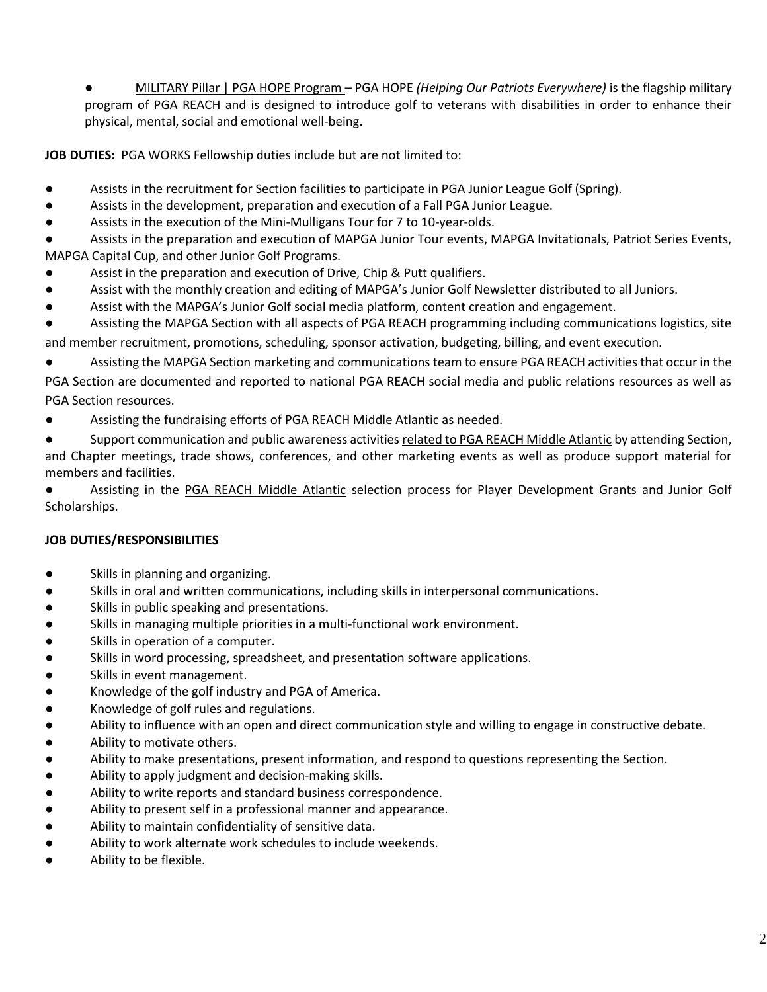● MILITARY Pillar | PGA HOPE Program – PGA HOPE *(Helping Our Patriots Everywhere)* is the flagship military program of PGA REACH and is designed to introduce golf to veterans with disabilities in order to enhance their physical, mental, social and emotional well-being.

**JOB DUTIES:** PGA WORKS Fellowship duties include but are not limited to:

- Assists in the recruitment for Section facilities to participate in PGA Junior League Golf (Spring).
- Assists in the development, preparation and execution of a Fall PGA Junior League.
- Assists in the execution of the Mini-Mulligans Tour for 7 to 10-year-olds.

Assists in the preparation and execution of MAPGA Junior Tour events, MAPGA Invitationals, Patriot Series Events, MAPGA Capital Cup, and other Junior Golf Programs.

- Assist in the preparation and execution of Drive, Chip & Putt qualifiers.
- Assist with the monthly creation and editing of MAPGA's Junior Golf Newsletter distributed to all Juniors.
- Assist with the MAPGA's Junior Golf social media platform, content creation and engagement.

Assisting the MAPGA Section with all aspects of PGA REACH programming including communications logistics, site and member recruitment, promotions, scheduling, sponsor activation, budgeting, billing, and event execution.

Assisting the MAPGA Section marketing and communications team to ensure PGA REACH activities that occur in the

PGA Section are documented and reported to national PGA REACH social media and public relations resources as well as PGA Section resources.

Assisting the fundraising efforts of PGA REACH Middle Atlantic as needed.

● Support communication and public awareness activities related to PGA REACH Middle Atlantic by attending Section, and Chapter meetings, trade shows, conferences, and other marketing events as well as produce support material for members and facilities.

Assisting in the PGA REACH Middle Atlantic selection process for Player Development Grants and Junior Golf Scholarships.

## **JOB DUTIES/RESPONSIBILITIES**

- Skills in planning and organizing.
- Skills in oral and written communications, including skills in interpersonal communications.
- Skills in public speaking and presentations.
- Skills in managing multiple priorities in a multi-functional work environment.
- Skills in operation of a computer.
- Skills in word processing, spreadsheet, and presentation software applications.
- Skills in event management.
- Knowledge of the golf industry and PGA of America.
- Knowledge of golf rules and regulations.
- Ability to influence with an open and direct communication style and willing to engage in constructive debate.
- Ability to motivate others.
- Ability to make presentations, present information, and respond to questions representing the Section.
- Ability to apply judgment and decision-making skills.
- Ability to write reports and standard business correspondence.
- Ability to present self in a professional manner and appearance.
- Ability to maintain confidentiality of sensitive data.
- Ability to work alternate work schedules to include weekends.
- Ability to be flexible.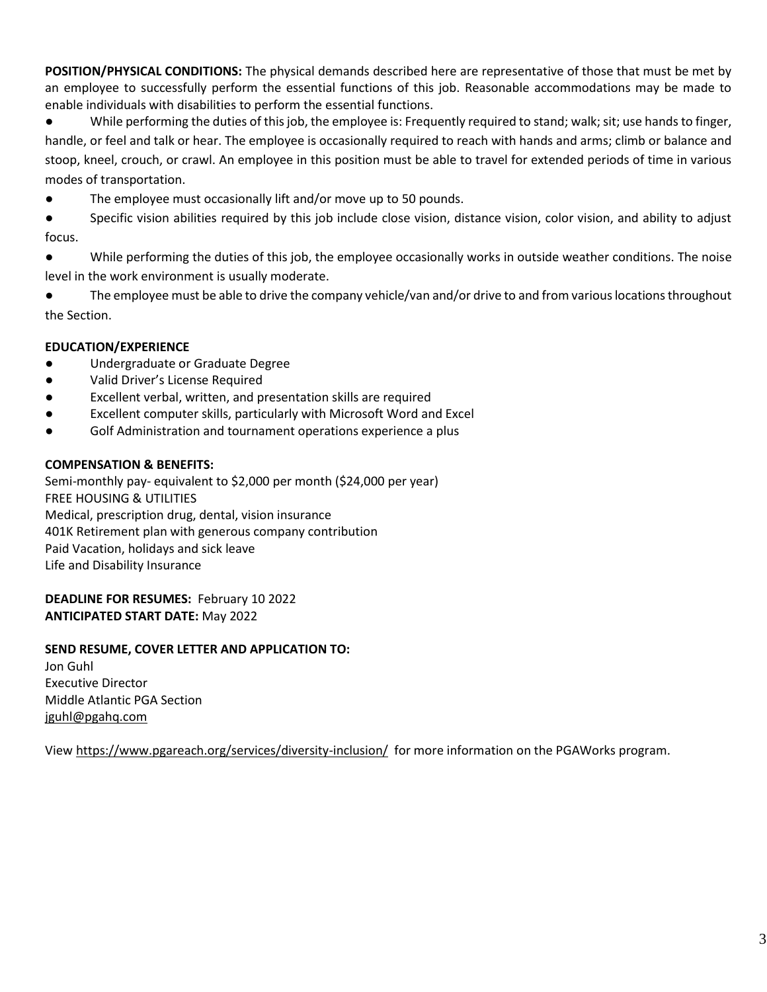**POSITION/PHYSICAL CONDITIONS:** The physical demands described here are representative of those that must be met by an employee to successfully perform the essential functions of this job. Reasonable accommodations may be made to enable individuals with disabilities to perform the essential functions.

● While performing the duties of this job, the employee is: Frequently required to stand; walk; sit; use hands to finger, handle, or feel and talk or hear. The employee is occasionally required to reach with hands and arms; climb or balance and stoop, kneel, crouch, or crawl. An employee in this position must be able to travel for extended periods of time in various modes of transportation.

- The employee must occasionally lift and/or move up to 50 pounds.
- Specific vision abilities required by this job include close vision, distance vision, color vision, and ability to adjust focus.
- While performing the duties of this job, the employee occasionally works in outside weather conditions. The noise level in the work environment is usually moderate.
- The employee must be able to drive the company vehicle/van and/or drive to and from various locations throughout the Section.

### **EDUCATION/EXPERIENCE**

- Undergraduate or Graduate Degree
- Valid Driver's License Required
- Excellent verbal, written, and presentation skills are required
- Excellent computer skills, particularly with Microsoft Word and Excel
- Golf Administration and tournament operations experience a plus

#### **COMPENSATION & BENEFITS:**

Semi-monthly pay- equivalent to \$2,000 per month (\$24,000 per year) FREE HOUSING & UTILITIES Medical, prescription drug, dental, vision insurance 401K Retirement plan with generous company contribution Paid Vacation, holidays and sick leave Life and Disability Insurance

**DEADLINE FOR RESUMES:** February 10 2022 **ANTICIPATED START DATE:** May 2022

#### **SEND RESUME, COVER LETTER AND APPLICATION TO:**

Jon Guhl Executive Director Middle Atlantic PGA Section [jguhl@pgahq.com](mailto:jguhl@pgahq.com)

Vie[w https://www.pgareach.org/services/diversity-inclusion/](https://www.pgareach.org/services/diversity-inclusion/) for more information on the PGAWorks program.